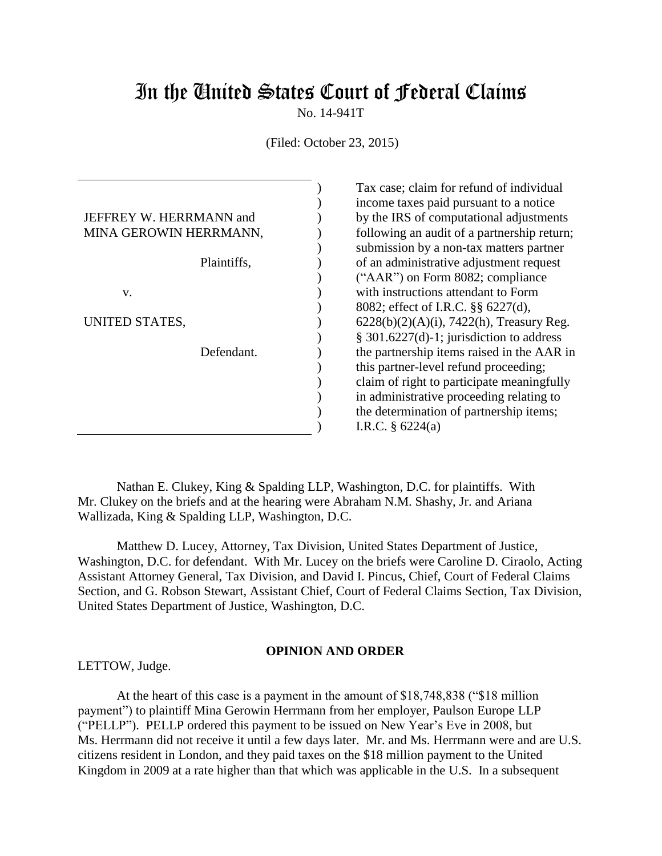# In the United States Court of Federal Claims

No. 14-941T

(Filed: October 23, 2015)

| JEFFREY W. HERRMANN and<br>MINA GEROWIN HERRMANN, |  |
|---------------------------------------------------|--|
| Plaintiffs,                                       |  |
| V.                                                |  |
| UNITED STATES,                                    |  |
| Defendant.                                        |  |
|                                                   |  |
|                                                   |  |

Tax case; claim for refund of individual income taxes paid pursuant to a notice by the IRS of computational adjustments following an audit of a partnership return; submission by a non-tax matters partner of an administrative adjustment request ("AAR") on Form 8082; compliance with instructions attendant to Form 8082; effect of I.R.C. §§ 6227(d), 6228(b)(2)(A)(i), 7422(h), Treasury Reg. § 301.6227(d)-1; jurisdiction to address the partnership items raised in the AAR in this partner-level refund proceeding; claim of right to participate meaningfully in administrative proceeding relating to the determination of partnership items; I.R.C. § 6224(a)

Nathan E. Clukey, King & Spalding LLP, Washington, D.C. for plaintiffs. With Mr. Clukey on the briefs and at the hearing were Abraham N.M. Shashy, Jr. and Ariana Wallizada, King & Spalding LLP, Washington, D.C.

 Matthew D. Lucey, Attorney, Tax Division, United States Department of Justice, Washington, D.C. for defendant. With Mr. Lucey on the briefs were Caroline D. Ciraolo, Acting Assistant Attorney General, Tax Division, and David I. Pincus, Chief, Court of Federal Claims Section, and G. Robson Stewart, Assistant Chief, Court of Federal Claims Section, Tax Division, United States Department of Justice, Washington, D.C.

#### **OPINION AND ORDER**

LETTOW, Judge.

At the heart of this case is a payment in the amount of \$18,748,838 ("\$18 million payment") to plaintiff Mina Gerowin Herrmann from her employer, Paulson Europe LLP ("PELLP"). PELLP ordered this payment to be issued on New Year's Eve in 2008, but Ms. Herrmann did not receive it until a few days later. Mr. and Ms. Herrmann were and are U.S. citizens resident in London, and they paid taxes on the \$18 million payment to the United Kingdom in 2009 at a rate higher than that which was applicable in the U.S. In a subsequent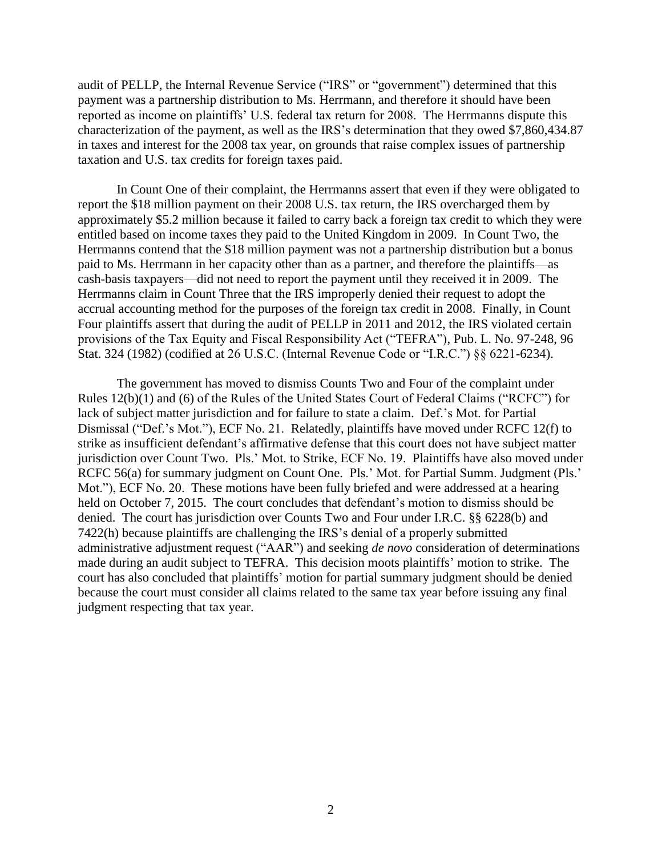audit of PELLP, the Internal Revenue Service ("IRS" or "government") determined that this payment was a partnership distribution to Ms. Herrmann, and therefore it should have been reported as income on plaintiffs' U.S. federal tax return for 2008. The Herrmanns dispute this characterization of the payment, as well as the IRS's determination that they owed \$7,860,434.87 in taxes and interest for the 2008 tax year, on grounds that raise complex issues of partnership taxation and U.S. tax credits for foreign taxes paid.

In Count One of their complaint, the Herrmanns assert that even if they were obligated to report the \$18 million payment on their 2008 U.S. tax return, the IRS overcharged them by approximately \$5.2 million because it failed to carry back a foreign tax credit to which they were entitled based on income taxes they paid to the United Kingdom in 2009. In Count Two, the Herrmanns contend that the \$18 million payment was not a partnership distribution but a bonus paid to Ms. Herrmann in her capacity other than as a partner, and therefore the plaintiffs—as cash-basis taxpayers—did not need to report the payment until they received it in 2009. The Herrmanns claim in Count Three that the IRS improperly denied their request to adopt the accrual accounting method for the purposes of the foreign tax credit in 2008. Finally, in Count Four plaintiffs assert that during the audit of PELLP in 2011 and 2012, the IRS violated certain provisions of the Tax Equity and Fiscal Responsibility Act ("TEFRA"), Pub. L. No. 97-248, 96 Stat. 324 (1982) (codified at 26 U.S.C. (Internal Revenue Code or "I.R.C.") §§ 6221-6234).

The government has moved to dismiss Counts Two and Four of the complaint under Rules 12(b)(1) and (6) of the Rules of the United States Court of Federal Claims ("RCFC") for lack of subject matter jurisdiction and for failure to state a claim. Def.'s Mot. for Partial Dismissal ("Def.'s Mot."), ECF No. 21. Relatedly, plaintiffs have moved under RCFC 12(f) to strike as insufficient defendant's affirmative defense that this court does not have subject matter jurisdiction over Count Two. Pls.' Mot. to Strike, ECF No. 19. Plaintiffs have also moved under RCFC 56(a) for summary judgment on Count One. Pls.' Mot. for Partial Summ. Judgment (Pls.' Mot."), ECF No. 20. These motions have been fully briefed and were addressed at a hearing held on October 7, 2015. The court concludes that defendant's motion to dismiss should be denied. The court has jurisdiction over Counts Two and Four under I.R.C. §§ 6228(b) and 7422(h) because plaintiffs are challenging the IRS's denial of a properly submitted administrative adjustment request ("AAR") and seeking *de novo* consideration of determinations made during an audit subject to TEFRA. This decision moots plaintiffs' motion to strike. The court has also concluded that plaintiffs' motion for partial summary judgment should be denied because the court must consider all claims related to the same tax year before issuing any final judgment respecting that tax year.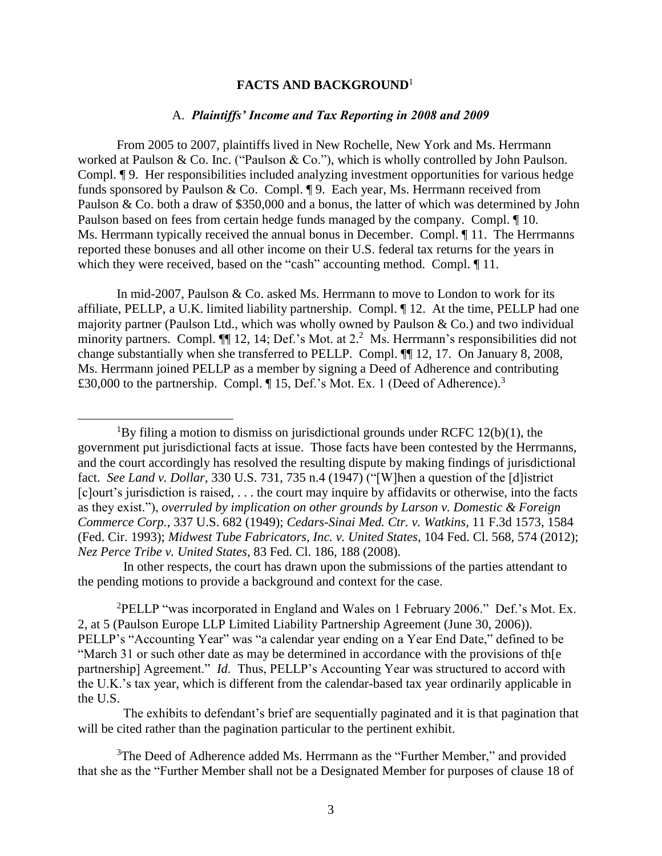### **FACTS AND BACKGROUND**<sup>1</sup>

#### A. *Plaintiffs' Income and Tax Reporting in 2008 and 2009*

From 2005 to 2007, plaintiffs lived in New Rochelle, New York and Ms. Herrmann worked at Paulson & Co. Inc. ("Paulson & Co."), which is wholly controlled by John Paulson. Compl. ¶ 9. Her responsibilities included analyzing investment opportunities for various hedge funds sponsored by Paulson & Co. Compl. ¶ 9. Each year, Ms. Herrmann received from Paulson & Co. both a draw of \$350,000 and a bonus, the latter of which was determined by John Paulson based on fees from certain hedge funds managed by the company. Compl. ¶ 10. Ms. Herrmann typically received the annual bonus in December. Compl. ¶ 11. The Herrmanns reported these bonuses and all other income on their U.S. federal tax returns for the years in which they were received, based on the "cash" accounting method. Compl.  $\P$  11.

In mid-2007, Paulson & Co. asked Ms. Herrmann to move to London to work for its affiliate, PELLP, a U.K. limited liability partnership. Compl. ¶ 12. At the time, PELLP had one majority partner (Paulson Ltd., which was wholly owned by Paulson & Co.) and two individual minority partners. Compl.  $\P$  12, 14; Def.'s Mot. at 2.<sup>2</sup> Ms. Herrmann's responsibilities did not change substantially when she transferred to PELLP. Compl. ¶¶ 12, 17. On January 8, 2008, Ms. Herrmann joined PELLP as a member by signing a Deed of Adherence and contributing £30,000 to the partnership. Compl.  $\P$  15, Def.'s Mot. Ex. 1 (Deed of Adherence).<sup>3</sup>

 $\overline{a}$ 

 In other respects, the court has drawn upon the submissions of the parties attendant to the pending motions to provide a background and context for the case.

<sup>2</sup>PELLP "was incorporated in England and Wales on 1 February 2006." Def.'s Mot. Ex. 2, at 5 (Paulson Europe LLP Limited Liability Partnership Agreement (June 30, 2006)). PELLP's "Accounting Year" was "a calendar year ending on a Year End Date," defined to be "March 31 or such other date as may be determined in accordance with the provisions of th[e partnership] Agreement." *Id*. Thus, PELLP's Accounting Year was structured to accord with the U.K.'s tax year, which is different from the calendar-based tax year ordinarily applicable in the U.S.

 The exhibits to defendant's brief are sequentially paginated and it is that pagination that will be cited rather than the pagination particular to the pertinent exhibit.

<sup>&</sup>lt;sup>1</sup>By filing a motion to dismiss on jurisdictional grounds under RCFC 12(b)(1), the government put jurisdictional facts at issue. Those facts have been contested by the Herrmanns, and the court accordingly has resolved the resulting dispute by making findings of jurisdictional fact. *See Land v. Dollar*, 330 U.S. 731, 735 n.4 (1947) ("[W]hen a question of the [d]istrict [c]ourt's jurisdiction is raised, . . . the court may inquire by affidavits or otherwise, into the facts as they exist."), *overruled by implication on other grounds by Larson v. Domestic & Foreign Commerce Corp.*, 337 U.S. 682 (1949); *Cedars-Sinai Med. Ctr. v. Watkins*, 11 F.3d 1573, 1584 (Fed. Cir. 1993); *Midwest Tube Fabricators, Inc. v. United States*, 104 Fed. Cl. 568, 574 (2012); *Nez Perce Tribe v. United States*, 83 Fed. Cl. 186, 188 (2008).

<sup>&</sup>lt;sup>3</sup>The Deed of Adherence added Ms. Herrmann as the "Further Member," and provided that she as the "Further Member shall not be a Designated Member for purposes of clause 18 of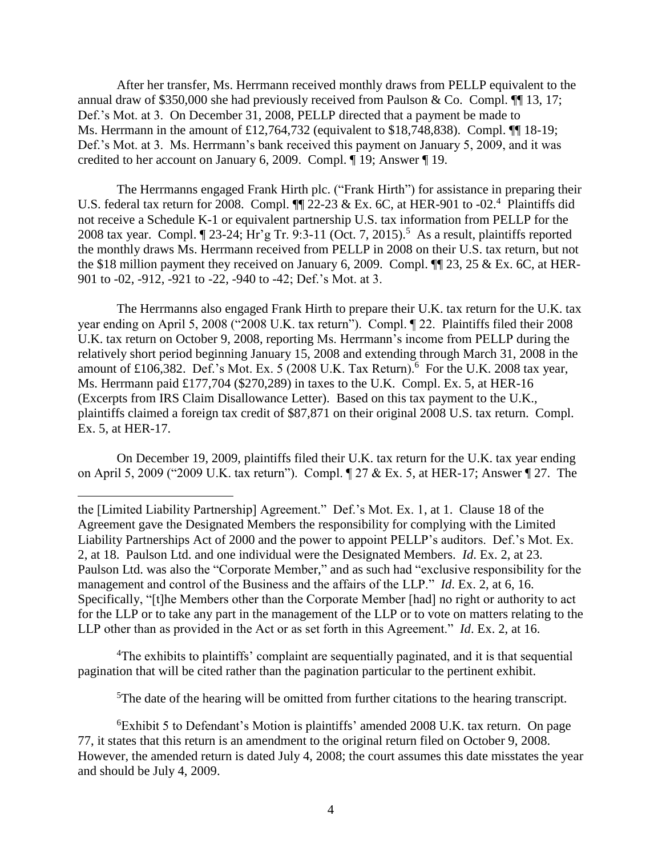After her transfer, Ms. Herrmann received monthly draws from PELLP equivalent to the annual draw of \$350,000 she had previously received from Paulson & Co. Compl.  $\P$  13, 17; Def.'s Mot. at 3. On December 31, 2008, PELLP directed that a payment be made to Ms. Herrmann in the amount of £12,764,732 (equivalent to \$18,748,838). Compl. ¶¶ 18-19; Def.'s Mot. at 3. Ms. Herrmann's bank received this payment on January 5, 2009, and it was credited to her account on January 6, 2009. Compl. ¶ 19; Answer ¶ 19.

The Herrmanns engaged Frank Hirth plc. ("Frank Hirth") for assistance in preparing their U.S. federal tax return for 2008. Compl.  $\P$  22-23 & Ex. 6C, at HER-901 to -02.<sup>4</sup> Plaintiffs did not receive a Schedule K-1 or equivalent partnership U.S. tax information from PELLP for the 2008 tax year. Compl.  $\P$  23-24; Hr'g Tr. 9:3-11 (Oct. 7, 2015).<sup>5</sup> As a result, plaintiffs reported the monthly draws Ms. Herrmann received from PELLP in 2008 on their U.S. tax return, but not the \$18 million payment they received on January 6, 2009. Compl.  $\P$  23, 25 & Ex. 6C, at HER-901 to -02, -912, -921 to -22, -940 to -42; Def.'s Mot. at 3.

The Herrmanns also engaged Frank Hirth to prepare their U.K. tax return for the U.K. tax year ending on April 5, 2008 ("2008 U.K. tax return"). Compl. ¶ 22. Plaintiffs filed their 2008 U.K. tax return on October 9, 2008, reporting Ms. Herrmann's income from PELLP during the relatively short period beginning January 15, 2008 and extending through March 31, 2008 in the amount of £106,382. Def.'s Mot. Ex. 5 (2008 U.K. Tax Return).<sup>6</sup> For the U.K. 2008 tax year, Ms. Herrmann paid £177,704 (\$270,289) in taxes to the U.K. Compl. Ex. 5, at HER-16 (Excerpts from IRS Claim Disallowance Letter). Based on this tax payment to the U.K., plaintiffs claimed a foreign tax credit of \$87,871 on their original 2008 U.S. tax return. Compl. Ex. 5, at HER-17.

On December 19, 2009, plaintiffs filed their U.K. tax return for the U.K. tax year ending on April 5, 2009 ("2009 U.K. tax return"). Compl. ¶ 27 & Ex. 5, at HER-17; Answer ¶ 27. The

 $\overline{a}$ 

<sup>4</sup>The exhibits to plaintiffs' complaint are sequentially paginated, and it is that sequential pagination that will be cited rather than the pagination particular to the pertinent exhibit.

<sup>5</sup>The date of the hearing will be omitted from further citations to the hearing transcript.

the [Limited Liability Partnership] Agreement." Def.'s Mot. Ex. 1, at 1. Clause 18 of the Agreement gave the Designated Members the responsibility for complying with the Limited Liability Partnerships Act of 2000 and the power to appoint PELLP's auditors. Def.'s Mot. Ex. 2, at 18. Paulson Ltd. and one individual were the Designated Members. *Id*. Ex. 2, at 23. Paulson Ltd. was also the "Corporate Member," and as such had "exclusive responsibility for the management and control of the Business and the affairs of the LLP." *Id*. Ex. 2, at 6, 16. Specifically, "[t]he Members other than the Corporate Member [had] no right or authority to act for the LLP or to take any part in the management of the LLP or to vote on matters relating to the LLP other than as provided in the Act or as set forth in this Agreement." *Id*. Ex. 2, at 16.

<sup>6</sup>Exhibit 5 to Defendant's Motion is plaintiffs' amended 2008 U.K. tax return. On page 77, it states that this return is an amendment to the original return filed on October 9, 2008. However, the amended return is dated July 4, 2008; the court assumes this date misstates the year and should be July 4, 2009.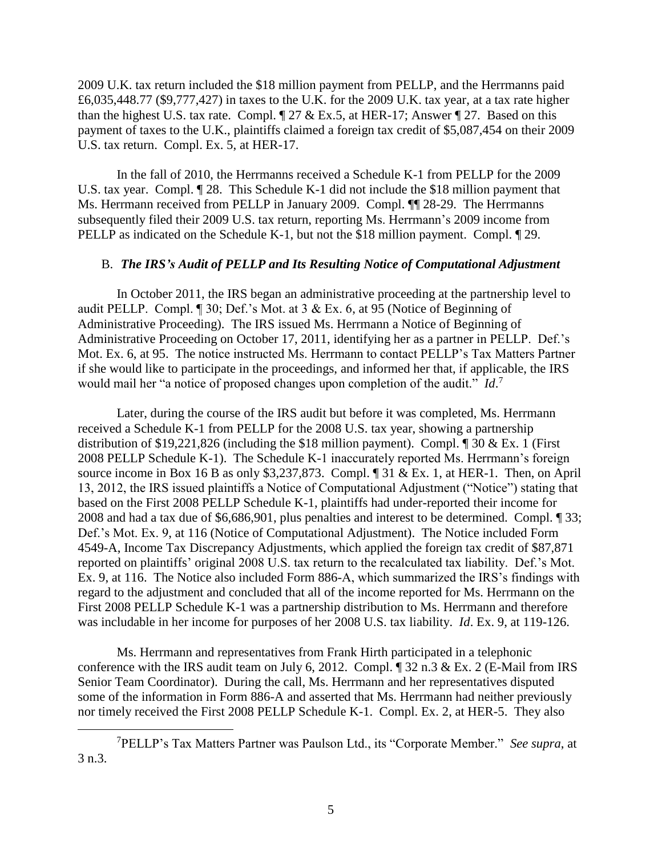2009 U.K. tax return included the \$18 million payment from PELLP, and the Herrmanns paid £6,035,448.77 (\$9,777,427) in taxes to the U.K. for the 2009 U.K. tax year, at a tax rate higher than the highest U.S. tax rate. Compl.  $\sqrt{27}$  & Ex.5, at HER-17; Answer  $\sqrt{27}$ . Based on this payment of taxes to the U.K., plaintiffs claimed a foreign tax credit of \$5,087,454 on their 2009 U.S. tax return. Compl. Ex. 5, at HER-17.

In the fall of 2010, the Herrmanns received a Schedule K-1 from PELLP for the 2009 U.S. tax year. Compl. ¶ 28. This Schedule K-1 did not include the \$18 million payment that Ms. Herrmann received from PELLP in January 2009. Compl. ¶¶ 28-29. The Herrmanns subsequently filed their 2009 U.S. tax return, reporting Ms. Herrmann's 2009 income from PELLP as indicated on the Schedule K-1, but not the \$18 million payment. Compl. 1 29.

#### B. *The IRS's Audit of PELLP and Its Resulting Notice of Computational Adjustment*

In October 2011, the IRS began an administrative proceeding at the partnership level to audit PELLP. Compl. ¶ 30; Def.'s Mot. at 3 & Ex. 6, at 95 (Notice of Beginning of Administrative Proceeding). The IRS issued Ms. Herrmann a Notice of Beginning of Administrative Proceeding on October 17, 2011, identifying her as a partner in PELLP. Def.'s Mot. Ex. 6, at 95. The notice instructed Ms. Herrmann to contact PELLP's Tax Matters Partner if she would like to participate in the proceedings, and informed her that, if applicable, the IRS would mail her "a notice of proposed changes upon completion of the audit." *Id*. 7

Later, during the course of the IRS audit but before it was completed, Ms. Herrmann received a Schedule K-1 from PELLP for the 2008 U.S. tax year, showing a partnership distribution of \$19,221,826 (including the \$18 million payment). Compl.  $\parallel$  30 & Ex. 1 (First 2008 PELLP Schedule K-1). The Schedule K-1 inaccurately reported Ms. Herrmann's foreign source income in Box 16 B as only \$3,237,873. Compl. ¶ 31 & Ex. 1, at HER-1. Then, on April 13, 2012, the IRS issued plaintiffs a Notice of Computational Adjustment ("Notice") stating that based on the First 2008 PELLP Schedule K-1, plaintiffs had under-reported their income for 2008 and had a tax due of \$6,686,901, plus penalties and interest to be determined. Compl. ¶ 33; Def.'s Mot. Ex. 9, at 116 (Notice of Computational Adjustment). The Notice included Form 4549-A, Income Tax Discrepancy Adjustments, which applied the foreign tax credit of \$87,871 reported on plaintiffs' original 2008 U.S. tax return to the recalculated tax liability. Def.'s Mot. Ex. 9, at 116. The Notice also included Form 886-A, which summarized the IRS's findings with regard to the adjustment and concluded that all of the income reported for Ms. Herrmann on the First 2008 PELLP Schedule K-1 was a partnership distribution to Ms. Herrmann and therefore was includable in her income for purposes of her 2008 U.S. tax liability. *Id*. Ex. 9, at 119-126.

Ms. Herrmann and representatives from Frank Hirth participated in a telephonic conference with the IRS audit team on July 6, 2012. Compl. ¶ 32 n.3 & Ex. 2 (E-Mail from IRS Senior Team Coordinator). During the call, Ms. Herrmann and her representatives disputed some of the information in Form 886-A and asserted that Ms. Herrmann had neither previously nor timely received the First 2008 PELLP Schedule K-1. Compl. Ex. 2, at HER-5. They also

<sup>7</sup>PELLP's Tax Matters Partner was Paulson Ltd., its "Corporate Member." *See supra*, at 3 n.3.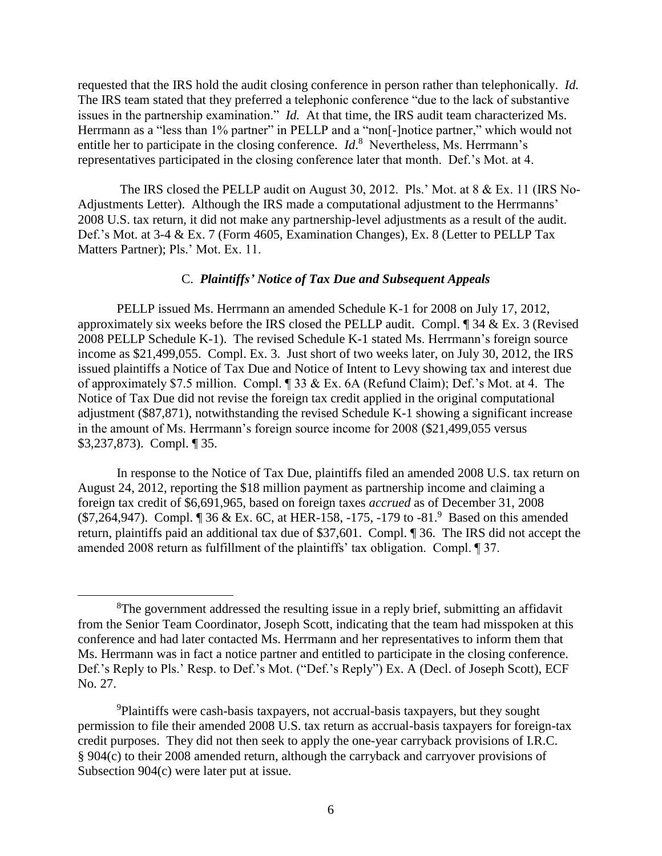requested that the IRS hold the audit closing conference in person rather than telephonically. *Id.* The IRS team stated that they preferred a telephonic conference "due to the lack of substantive issues in the partnership examination." *Id.* At that time, the IRS audit team characterized Ms. Herrmann as a "less than 1% partner" in PELLP and a "non[-]notice partner," which would not entitle her to participate in the closing conference.  $Id$ <sup>8</sup> Nevertheless, Ms. Herrmann's representatives participated in the closing conference later that month. Def.'s Mot. at 4.

The IRS closed the PELLP audit on August 30, 2012. Pls.' Mot. at 8 & Ex. 11 (IRS No-Adjustments Letter). Although the IRS made a computational adjustment to the Herrmanns' 2008 U.S. tax return, it did not make any partnership-level adjustments as a result of the audit. Def.'s Mot. at 3-4 & Ex. 7 (Form 4605, Examination Changes), Ex. 8 (Letter to PELLP Tax Matters Partner); Pls.' Mot. Ex. 11.

## C. *Plaintiffs' Notice of Tax Due and Subsequent Appeals*

PELLP issued Ms. Herrmann an amended Schedule K-1 for 2008 on July 17, 2012, approximately six weeks before the IRS closed the PELLP audit. Compl. ¶ 34 & Ex. 3 (Revised 2008 PELLP Schedule K-1). The revised Schedule K-1 stated Ms. Herrmann's foreign source income as \$21,499,055. Compl. Ex. 3. Just short of two weeks later, on July 30, 2012, the IRS issued plaintiffs a Notice of Tax Due and Notice of Intent to Levy showing tax and interest due of approximately \$7.5 million. Compl. ¶ 33 & Ex. 6A (Refund Claim); Def.'s Mot. at 4. The Notice of Tax Due did not revise the foreign tax credit applied in the original computational adjustment (\$87,871), notwithstanding the revised Schedule K-1 showing a significant increase in the amount of Ms. Herrmann's foreign source income for 2008 (\$21,499,055 versus \$3,237,873). Compl. ¶ 35.

In response to the Notice of Tax Due, plaintiffs filed an amended 2008 U.S. tax return on August 24, 2012, reporting the \$18 million payment as partnership income and claiming a foreign tax credit of \$6,691,965, based on foreign taxes *accrued* as of December 31, 2008 (\$7,264,947). Compl. ¶ 36 & Ex. 6C, at HER-158, -175, -179 to -81. 9 Based on this amended return, plaintiffs paid an additional tax due of \$37,601. Compl. ¶ 36. The IRS did not accept the amended 2008 return as fulfillment of the plaintiffs' tax obligation. Compl. ¶ 37.

 ${}^{8}$ The government addressed the resulting issue in a reply brief, submitting an affidavit from the Senior Team Coordinator, Joseph Scott, indicating that the team had misspoken at this conference and had later contacted Ms. Herrmann and her representatives to inform them that Ms. Herrmann was in fact a notice partner and entitled to participate in the closing conference. Def.'s Reply to Pls.' Resp. to Def.'s Mot. ("Def.'s Reply") Ex. A (Decl. of Joseph Scott), ECF No. 27.

<sup>&</sup>lt;sup>9</sup>Plaintiffs were cash-basis taxpayers, not accrual-basis taxpayers, but they sought permission to file their amended 2008 U.S. tax return as accrual-basis taxpayers for foreign-tax credit purposes. They did not then seek to apply the one-year carryback provisions of I.R.C. § 904(c) to their 2008 amended return, although the carryback and carryover provisions of Subsection 904(c) were later put at issue.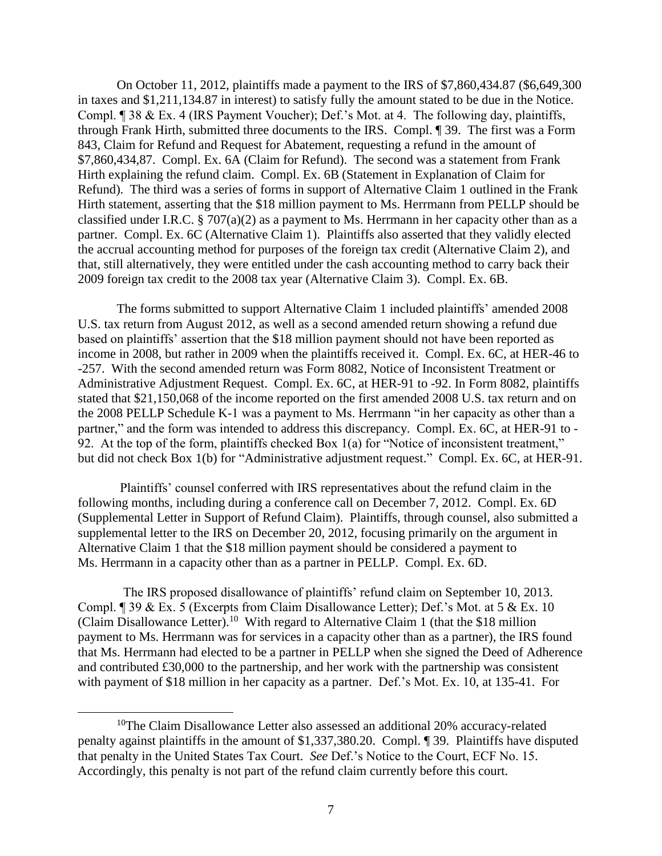On October 11, 2012, plaintiffs made a payment to the IRS of \$7,860,434.87 (\$6,649,300 in taxes and \$1,211,134.87 in interest) to satisfy fully the amount stated to be due in the Notice. Compl. ¶ 38 & Ex. 4 (IRS Payment Voucher); Def.'s Mot. at 4. The following day, plaintiffs, through Frank Hirth, submitted three documents to the IRS. Compl. ¶ 39. The first was a Form 843, Claim for Refund and Request for Abatement, requesting a refund in the amount of \$7,860,434,87. Compl. Ex. 6A (Claim for Refund). The second was a statement from Frank Hirth explaining the refund claim. Compl. Ex. 6B (Statement in Explanation of Claim for Refund). The third was a series of forms in support of Alternative Claim 1 outlined in the Frank Hirth statement, asserting that the \$18 million payment to Ms. Herrmann from PELLP should be classified under I.R.C. § 707(a)(2) as a payment to Ms. Herrmann in her capacity other than as a partner. Compl. Ex. 6C (Alternative Claim 1). Plaintiffs also asserted that they validly elected the accrual accounting method for purposes of the foreign tax credit (Alternative Claim 2), and that, still alternatively, they were entitled under the cash accounting method to carry back their 2009 foreign tax credit to the 2008 tax year (Alternative Claim 3). Compl. Ex. 6B.

The forms submitted to support Alternative Claim 1 included plaintiffs' amended 2008 U.S. tax return from August 2012, as well as a second amended return showing a refund due based on plaintiffs' assertion that the \$18 million payment should not have been reported as income in 2008, but rather in 2009 when the plaintiffs received it. Compl. Ex. 6C, at HER-46 to -257. With the second amended return was Form 8082, Notice of Inconsistent Treatment or Administrative Adjustment Request. Compl. Ex. 6C, at HER-91 to -92. In Form 8082, plaintiffs stated that \$21,150,068 of the income reported on the first amended 2008 U.S. tax return and on the 2008 PELLP Schedule K-1 was a payment to Ms. Herrmann "in her capacity as other than a partner," and the form was intended to address this discrepancy. Compl. Ex. 6C, at HER-91 to -92. At the top of the form, plaintiffs checked Box 1(a) for "Notice of inconsistent treatment," but did not check Box 1(b) for "Administrative adjustment request." Compl. Ex. 6C, at HER-91.

Plaintiffs' counsel conferred with IRS representatives about the refund claim in the following months, including during a conference call on December 7, 2012. Compl. Ex. 6D (Supplemental Letter in Support of Refund Claim). Plaintiffs, through counsel, also submitted a supplemental letter to the IRS on December 20, 2012, focusing primarily on the argument in Alternative Claim 1 that the \$18 million payment should be considered a payment to Ms. Herrmann in a capacity other than as a partner in PELLP. Compl. Ex. 6D.

 The IRS proposed disallowance of plaintiffs' refund claim on September 10, 2013. Compl. ¶ 39 & Ex. 5 (Excerpts from Claim Disallowance Letter); Def.'s Mot. at 5 & Ex. 10 (Claim Disallowance Letter).<sup>10</sup> With regard to Alternative Claim 1 (that the \$18 million payment to Ms. Herrmann was for services in a capacity other than as a partner), the IRS found that Ms. Herrmann had elected to be a partner in PELLP when she signed the Deed of Adherence and contributed £30,000 to the partnership, and her work with the partnership was consistent with payment of \$18 million in her capacity as a partner. Def.'s Mot. Ex. 10, at 135-41. For

<sup>&</sup>lt;sup>10</sup>The Claim Disallowance Letter also assessed an additional 20% accuracy-related penalty against plaintiffs in the amount of \$1,337,380.20. Compl. ¶ 39. Plaintiffs have disputed that penalty in the United States Tax Court. *See* Def.'s Notice to the Court, ECF No. 15. Accordingly, this penalty is not part of the refund claim currently before this court.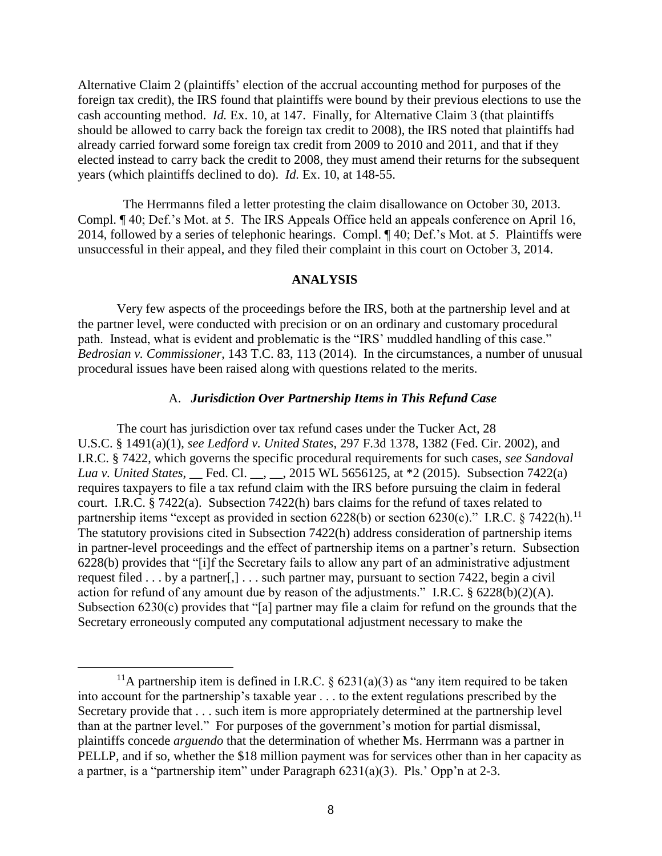Alternative Claim 2 (plaintiffs' election of the accrual accounting method for purposes of the foreign tax credit), the IRS found that plaintiffs were bound by their previous elections to use the cash accounting method. *Id.* Ex. 10, at 147. Finally, for Alternative Claim 3 (that plaintiffs should be allowed to carry back the foreign tax credit to 2008), the IRS noted that plaintiffs had already carried forward some foreign tax credit from 2009 to 2010 and 2011, and that if they elected instead to carry back the credit to 2008, they must amend their returns for the subsequent years (which plaintiffs declined to do). *Id.* Ex. 10, at 148-55.

 The Herrmanns filed a letter protesting the claim disallowance on October 30, 2013. Compl. ¶ 40; Def.'s Mot. at 5. The IRS Appeals Office held an appeals conference on April 16, 2014, followed by a series of telephonic hearings. Compl. ¶ 40; Def.'s Mot. at 5. Plaintiffs were unsuccessful in their appeal, and they filed their complaint in this court on October 3, 2014.

#### **ANALYSIS**

Very few aspects of the proceedings before the IRS, both at the partnership level and at the partner level, were conducted with precision or on an ordinary and customary procedural path. Instead, what is evident and problematic is the "IRS' muddled handling of this case." *Bedrosian v. Commissioner*, 143 T.C. 83, 113 (2014). In the circumstances, a number of unusual procedural issues have been raised along with questions related to the merits.

## A. *Jurisdiction Over Partnership Items in This Refund Case*

The court has jurisdiction over tax refund cases under the Tucker Act, 28 U.S.C. § 1491(a)(1), *see Ledford v. United States*, 297 F.3d 1378, 1382 (Fed. Cir. 2002), and I.R.C. § 7422, which governs the specific procedural requirements for such cases, *see Sandoval Lua v. United States*, *\_\_ Fed. Cl. \_\_, \_\_, 2015 WL 5656125*, at \*2 (2015). Subsection 7422(a) requires taxpayers to file a tax refund claim with the IRS before pursuing the claim in federal court. I.R.C. § 7422(a). Subsection 7422(h) bars claims for the refund of taxes related to partnership items "except as provided in section  $6228(b)$  or section  $6230(c)$ ." I.R.C. § 7422(h).<sup>11</sup> The statutory provisions cited in Subsection 7422(h) address consideration of partnership items in partner-level proceedings and the effect of partnership items on a partner's return. Subsection 6228(b) provides that "[i]f the Secretary fails to allow any part of an administrative adjustment request filed . . . by a partner[,] . . . such partner may, pursuant to section 7422, begin a civil action for refund of any amount due by reason of the adjustments." I.R.C. § 6228(b)(2)(A). Subsection 6230(c) provides that "[a] partner may file a claim for refund on the grounds that the Secretary erroneously computed any computational adjustment necessary to make the

<sup>&</sup>lt;sup>11</sup>A partnership item is defined in I.R.C. § 6231(a)(3) as "any item required to be taken into account for the partnership's taxable year . . . to the extent regulations prescribed by the Secretary provide that . . . such item is more appropriately determined at the partnership level than at the partner level." For purposes of the government's motion for partial dismissal, plaintiffs concede *arguendo* that the determination of whether Ms. Herrmann was a partner in PELLP, and if so, whether the \$18 million payment was for services other than in her capacity as a partner, is a "partnership item" under Paragraph 6231(a)(3). Pls.' Opp'n at 2-3.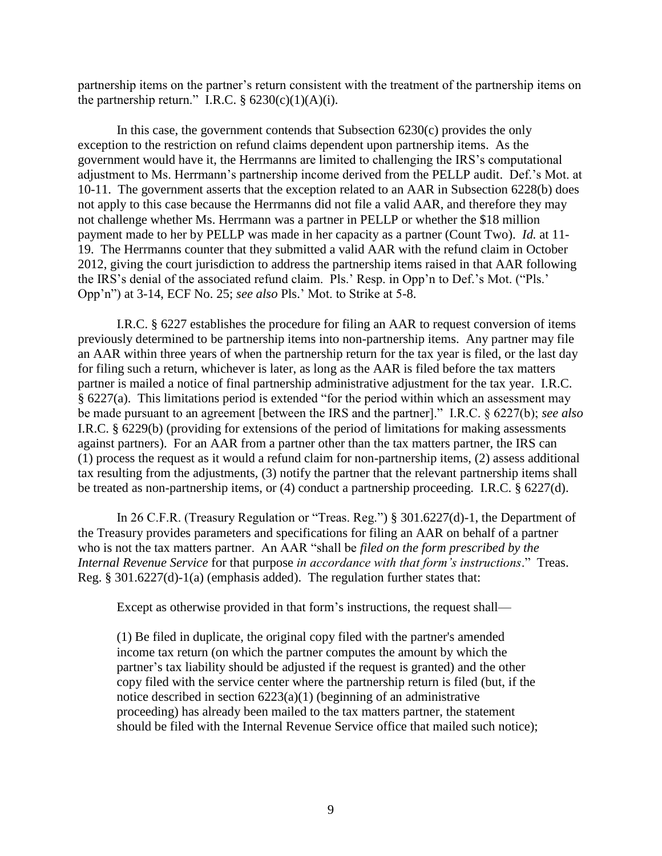partnership items on the partner's return consistent with the treatment of the partnership items on the partnership return." I.R.C.  $\S$  6230(c)(1)(A)(i).

In this case, the government contends that Subsection  $6230(c)$  provides the only exception to the restriction on refund claims dependent upon partnership items. As the government would have it, the Herrmanns are limited to challenging the IRS's computational adjustment to Ms. Herrmann's partnership income derived from the PELLP audit. Def.'s Mot. at 10-11. The government asserts that the exception related to an AAR in Subsection 6228(b) does not apply to this case because the Herrmanns did not file a valid AAR, and therefore they may not challenge whether Ms. Herrmann was a partner in PELLP or whether the \$18 million payment made to her by PELLP was made in her capacity as a partner (Count Two). *Id.* at 11- 19. The Herrmanns counter that they submitted a valid AAR with the refund claim in October 2012, giving the court jurisdiction to address the partnership items raised in that AAR following the IRS's denial of the associated refund claim. Pls.' Resp. in Opp'n to Def.'s Mot. ("Pls.' Opp'n") at 3-14, ECF No. 25; *see also* Pls.' Mot. to Strike at 5-8.

I.R.C. § 6227 establishes the procedure for filing an AAR to request conversion of items previously determined to be partnership items into non-partnership items. Any partner may file an AAR within three years of when the partnership return for the tax year is filed, or the last day for filing such a return, whichever is later, as long as the AAR is filed before the tax matters partner is mailed a notice of final partnership administrative adjustment for the tax year. I.R.C. § 6227(a). This limitations period is extended "for the period within which an assessment may be made pursuant to an agreement [between the IRS and the partner]." I.R.C. § 6227(b); *see also* I.R.C. § 6229(b) (providing for extensions of the period of limitations for making assessments against partners). For an AAR from a partner other than the tax matters partner, the IRS can (1) process the request as it would a refund claim for non-partnership items, (2) assess additional tax resulting from the adjustments, (3) notify the partner that the relevant partnership items shall be treated as non-partnership items, or (4) conduct a partnership proceeding. I.R.C. § 6227(d).

In 26 C.F.R. (Treasury Regulation or "Treas. Reg.") § 301.6227(d)-1, the Department of the Treasury provides parameters and specifications for filing an AAR on behalf of a partner who is not the tax matters partner. An AAR "shall be *filed on the form prescribed by the Internal Revenue Service* for that purpose *in accordance with that form's instructions*." Treas. Reg. § 301.6227(d)-1(a) (emphasis added). The regulation further states that:

Except as otherwise provided in that form's instructions, the request shall—

(1) Be filed in duplicate, the original copy filed with the partner's amended income tax return (on which the partner computes the amount by which the partner's tax liability should be adjusted if the request is granted) and the other copy filed with the service center where the partnership return is filed (but, if the notice described in section  $6223(a)(1)$  (beginning of an administrative proceeding) has already been mailed to the tax matters partner, the statement should be filed with the Internal Revenue Service office that mailed such notice);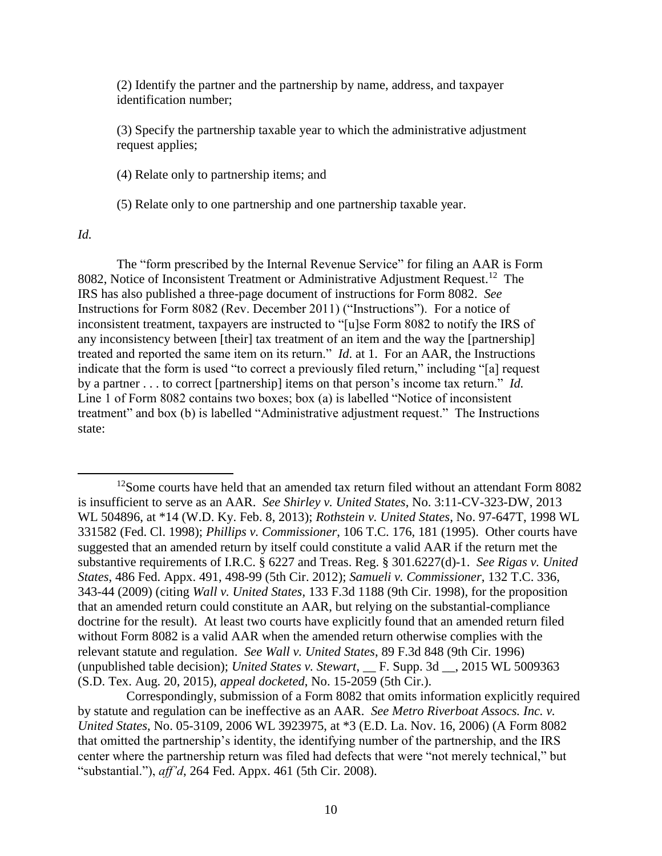(2) Identify the partner and the partnership by name, address, and taxpayer identification number;

(3) Specify the partnership taxable year to which the administrative adjustment request applies;

(4) Relate only to partnership items; and

(5) Relate only to one partnership and one partnership taxable year.

## *Id.*

 $\overline{a}$ 

 The "form prescribed by the Internal Revenue Service" for filing an AAR is Form 8082, Notice of Inconsistent Treatment or Administrative Adjustment Request.<sup>12</sup> The IRS has also published a three-page document of instructions for Form 8082. *See*  Instructions for Form 8082 (Rev. December 2011) ("Instructions"). For a notice of inconsistent treatment, taxpayers are instructed to "[u]se Form 8082 to notify the IRS of any inconsistency between [their] tax treatment of an item and the way the [partnership] treated and reported the same item on its return." *Id*. at 1. For an AAR, the Instructions indicate that the form is used "to correct a previously filed return," including "[a] request by a partner . . . to correct [partnership] items on that person's income tax return." *Id.* Line 1 of Form 8082 contains two boxes; box (a) is labelled "Notice of inconsistent treatment" and box (b) is labelled "Administrative adjustment request." The Instructions state:

<sup>&</sup>lt;sup>12</sup>Some courts have held that an amended tax return filed without an attendant Form 8082 is insufficient to serve as an AAR. *See Shirley v. United States*, No. 3:11-CV-323-DW, 2013 WL 504896, at \*14 (W.D. Ky. Feb. 8, 2013); *Rothstein v. United States*, No. 97-647T, 1998 WL 331582 (Fed. Cl. 1998); *Phillips v. Commissioner*, 106 T.C. 176, 181 (1995). Other courts have suggested that an amended return by itself could constitute a valid AAR if the return met the substantive requirements of I.R.C. § 6227 and Treas. Reg. § 301.6227(d)-1. *See Rigas v. United States*, 486 Fed. Appx. 491, 498-99 (5th Cir. 2012); *Samueli v. Commissioner*, 132 T.C. 336, 343-44 (2009) (citing *Wall v. United States*, 133 F.3d 1188 (9th Cir. 1998), for the proposition that an amended return could constitute an AAR, but relying on the substantial-compliance doctrine for the result). At least two courts have explicitly found that an amended return filed without Form 8082 is a valid AAR when the amended return otherwise complies with the relevant statute and regulation. *See Wall v. United States*, 89 F.3d 848 (9th Cir. 1996) (unpublished table decision); *United States v. Stewart*, \_\_ F. Supp. 3d \_\_, 2015 WL 5009363 (S.D. Tex. Aug. 20, 2015), *appeal docketed*, No. 15-2059 (5th Cir.).

Correspondingly, submission of a Form 8082 that omits information explicitly required by statute and regulation can be ineffective as an AAR. *See Metro Riverboat Assocs. Inc. v. United States*, No. 05-3109, 2006 WL 3923975, at \*3 (E.D. La. Nov. 16, 2006) (A Form 8082 that omitted the partnership's identity, the identifying number of the partnership, and the IRS center where the partnership return was filed had defects that were "not merely technical," but "substantial."), *aff'd*, 264 Fed. Appx. 461 (5th Cir. 2008).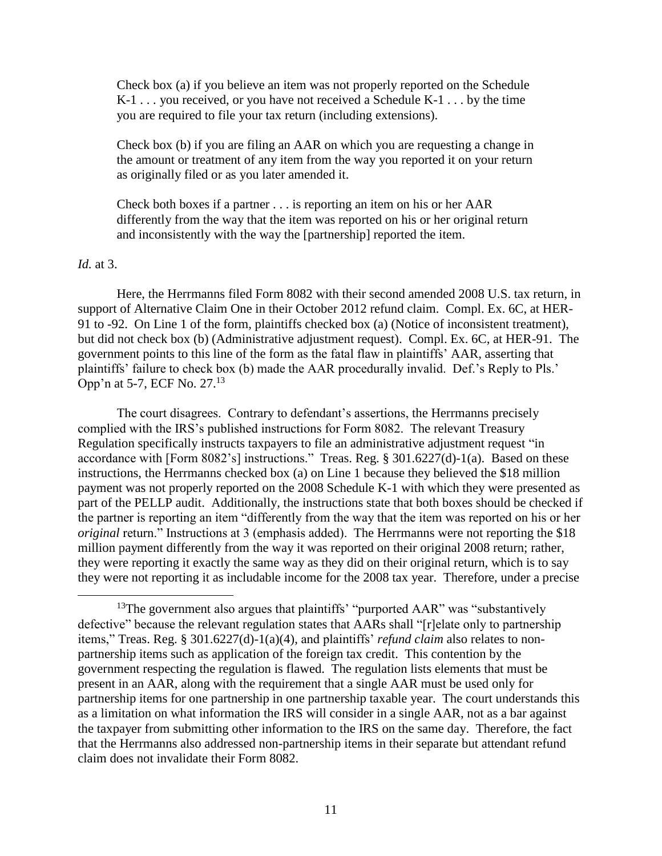Check box (a) if you believe an item was not properly reported on the Schedule K-1 . . . you received, or you have not received a Schedule K-1 . . . by the time you are required to file your tax return (including extensions).

Check box (b) if you are filing an AAR on which you are requesting a change in the amount or treatment of any item from the way you reported it on your return as originally filed or as you later amended it.

Check both boxes if a partner . . . is reporting an item on his or her AAR differently from the way that the item was reported on his or her original return and inconsistently with the way the [partnership] reported the item.

### *Id.* at 3.

 $\overline{a}$ 

Here, the Herrmanns filed Form 8082 with their second amended 2008 U.S. tax return, in support of Alternative Claim One in their October 2012 refund claim. Compl. Ex. 6C, at HER-91 to -92. On Line 1 of the form, plaintiffs checked box (a) (Notice of inconsistent treatment), but did not check box (b) (Administrative adjustment request). Compl. Ex. 6C, at HER-91. The government points to this line of the form as the fatal flaw in plaintiffs' AAR, asserting that plaintiffs' failure to check box (b) made the AAR procedurally invalid. Def.'s Reply to Pls.' Opp'n at 5-7, ECF No. 27.<sup>13</sup>

The court disagrees. Contrary to defendant's assertions, the Herrmanns precisely complied with the IRS's published instructions for Form 8082. The relevant Treasury Regulation specifically instructs taxpayers to file an administrative adjustment request "in accordance with [Form 8082's] instructions." Treas. Reg. § 301.6227(d)-1(a). Based on these instructions, the Herrmanns checked box (a) on Line 1 because they believed the \$18 million payment was not properly reported on the 2008 Schedule K-1 with which they were presented as part of the PELLP audit. Additionally, the instructions state that both boxes should be checked if the partner is reporting an item "differently from the way that the item was reported on his or her *original* return." Instructions at 3 (emphasis added). The Herrmanns were not reporting the \$18 million payment differently from the way it was reported on their original 2008 return; rather, they were reporting it exactly the same way as they did on their original return, which is to say they were not reporting it as includable income for the 2008 tax year. Therefore, under a precise

<sup>&</sup>lt;sup>13</sup>The government also argues that plaintiffs' "purported  $AAR$ " was "substantively defective" because the relevant regulation states that AARs shall "[r]elate only to partnership items," Treas. Reg. § 301.6227(d)-1(a)(4), and plaintiffs' *refund claim* also relates to nonpartnership items such as application of the foreign tax credit. This contention by the government respecting the regulation is flawed. The regulation lists elements that must be present in an AAR, along with the requirement that a single AAR must be used only for partnership items for one partnership in one partnership taxable year. The court understands this as a limitation on what information the IRS will consider in a single AAR, not as a bar against the taxpayer from submitting other information to the IRS on the same day. Therefore, the fact that the Herrmanns also addressed non-partnership items in their separate but attendant refund claim does not invalidate their Form 8082.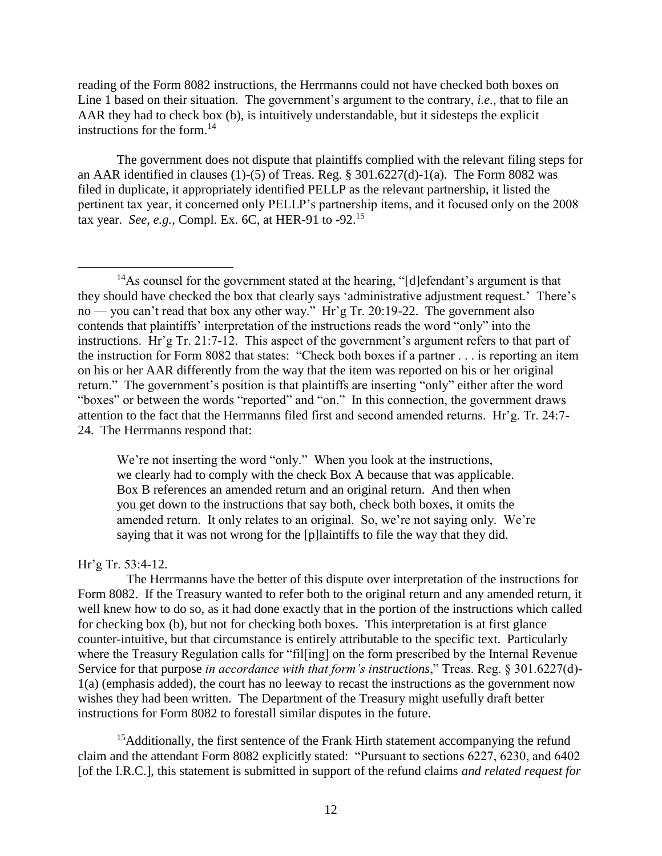reading of the Form 8082 instructions, the Herrmanns could not have checked both boxes on Line 1 based on their situation. The government's argument to the contrary, *i.e.*, that to file an AAR they had to check box (b), is intuitively understandable, but it sidesteps the explicit instructions for the form.<sup>14</sup>

The government does not dispute that plaintiffs complied with the relevant filing steps for an AAR identified in clauses (1)-(5) of Treas. Reg. § 301.6227(d)-1(a). The Form 8082 was filed in duplicate, it appropriately identified PELLP as the relevant partnership, it listed the pertinent tax year, it concerned only PELLP's partnership items, and it focused only on the 2008 tax year. *See*, *e.g.*, Compl. Ex. 6C, at HER-91 to -92.<sup>15</sup>

We're not inserting the word "only." When you look at the instructions, we clearly had to comply with the check Box A because that was applicable. Box B references an amended return and an original return. And then when you get down to the instructions that say both, check both boxes, it omits the amended return. It only relates to an original. So, we're not saying only. We're saying that it was not wrong for the [p]laintiffs to file the way that they did.

## Hr'g Tr. 53:4-12.

 The Herrmanns have the better of this dispute over interpretation of the instructions for Form 8082. If the Treasury wanted to refer both to the original return and any amended return, it well knew how to do so, as it had done exactly that in the portion of the instructions which called for checking box (b), but not for checking both boxes. This interpretation is at first glance counter-intuitive, but that circumstance is entirely attributable to the specific text. Particularly where the Treasury Regulation calls for "fil[ing] on the form prescribed by the Internal Revenue Service for that purpose *in accordance with that form's instructions*," Treas. Reg. § 301.6227(d)- 1(a) (emphasis added), the court has no leeway to recast the instructions as the government now wishes they had been written. The Department of the Treasury might usefully draft better instructions for Form 8082 to forestall similar disputes in the future.

<sup>15</sup>Additionally, the first sentence of the Frank Hirth statement accompanying the refund claim and the attendant Form 8082 explicitly stated: "Pursuant to sections 6227, 6230, and 6402 [of the I.R.C.], this statement is submitted in support of the refund claims *and related request for* 

 $\overline{a}$ <sup>14</sup>As counsel for the government stated at the hearing, "[d]efendant's argument is that they should have checked the box that clearly says 'administrative adjustment request.' There's no — you can't read that box any other way." Hr'g Tr. 20:19-22. The government also contends that plaintiffs' interpretation of the instructions reads the word "only" into the instructions. Hr'g Tr. 21:7-12. This aspect of the government's argument refers to that part of the instruction for Form 8082 that states: "Check both boxes if a partner . . . is reporting an item on his or her AAR differently from the way that the item was reported on his or her original return." The government's position is that plaintiffs are inserting "only" either after the word "boxes" or between the words "reported" and "on." In this connection, the government draws attention to the fact that the Herrmanns filed first and second amended returns. Hr'g. Tr. 24:7- 24. The Herrmanns respond that: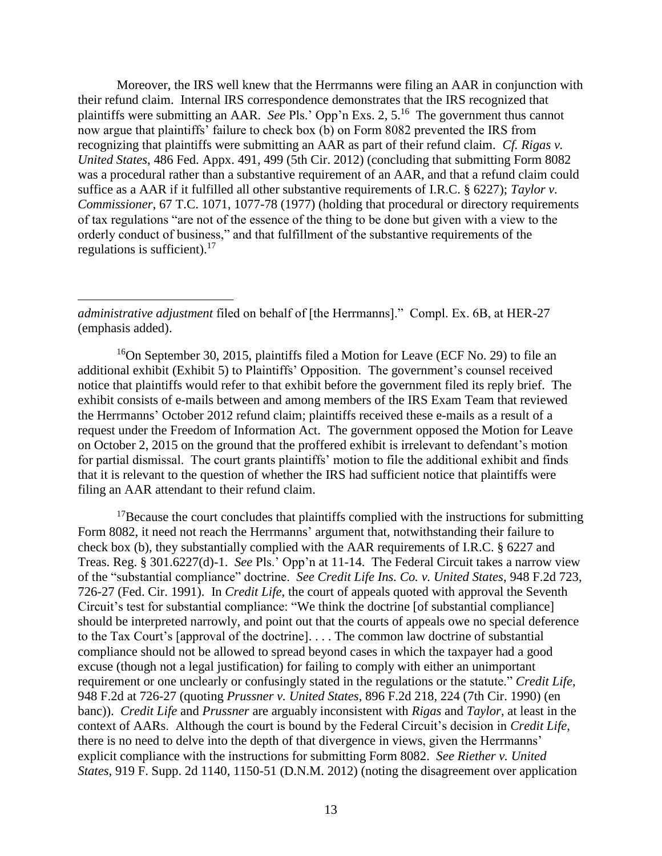Moreover, the IRS well knew that the Herrmanns were filing an AAR in conjunction with their refund claim. Internal IRS correspondence demonstrates that the IRS recognized that plaintiffs were submitting an AAR. *See* Pls.' Opp'n Exs. 2, 5.<sup>16</sup> The government thus cannot now argue that plaintiffs' failure to check box (b) on Form 8082 prevented the IRS from recognizing that plaintiffs were submitting an AAR as part of their refund claim. *Cf. Rigas v. United States*, 486 Fed. Appx. 491, 499 (5th Cir. 2012) (concluding that submitting Form 8082 was a procedural rather than a substantive requirement of an AAR, and that a refund claim could suffice as a AAR if it fulfilled all other substantive requirements of I.R.C. § 6227); *Taylor v. Commissioner*, 67 T.C. 1071, 1077-78 (1977) (holding that procedural or directory requirements of tax regulations "are not of the essence of the thing to be done but given with a view to the orderly conduct of business," and that fulfillment of the substantive requirements of the regulations is sufficient).<sup>17</sup>

*administrative adjustment* filed on behalf of [the Herrmanns]." Compl. Ex. 6B, at HER-27 (emphasis added).

 $\overline{a}$ 

<sup>16</sup>On September 30, 2015, plaintiffs filed a Motion for Leave (ECF No. 29) to file an additional exhibit (Exhibit 5) to Plaintiffs' Opposition. The government's counsel received notice that plaintiffs would refer to that exhibit before the government filed its reply brief. The exhibit consists of e-mails between and among members of the IRS Exam Team that reviewed the Herrmanns' October 2012 refund claim; plaintiffs received these e-mails as a result of a request under the Freedom of Information Act. The government opposed the Motion for Leave on October 2, 2015 on the ground that the proffered exhibit is irrelevant to defendant's motion for partial dismissal. The court grants plaintiffs' motion to file the additional exhibit and finds that it is relevant to the question of whether the IRS had sufficient notice that plaintiffs were filing an AAR attendant to their refund claim.

 $17$ Because the court concludes that plaintiffs complied with the instructions for submitting Form 8082, it need not reach the Herrmanns' argument that, notwithstanding their failure to check box (b), they substantially complied with the AAR requirements of I.R.C. § 6227 and Treas. Reg. § 301.6227(d)-1. *See* Pls.' Opp'n at 11-14. The Federal Circuit takes a narrow view of the "substantial compliance" doctrine. *See Credit Life Ins. Co. v. United States*, 948 F.2d 723, 726-27 (Fed. Cir. 1991). In *Credit Life*, the court of appeals quoted with approval the Seventh Circuit's test for substantial compliance: "We think the doctrine [of substantial compliance] should be interpreted narrowly, and point out that the courts of appeals owe no special deference to the Tax Court's [approval of the doctrine]. . . . The common law doctrine of substantial compliance should not be allowed to spread beyond cases in which the taxpayer had a good excuse (though not a legal justification) for failing to comply with either an unimportant requirement or one unclearly or confusingly stated in the regulations or the statute." *Credit Life*, 948 F.2d at 726-27 (quoting *Prussner v. United States*, 896 F.2d 218, 224 (7th Cir. 1990) (en banc)). *Credit Life* and *Prussner* are arguably inconsistent with *Rigas* and *Taylor*, at least in the context of AARs. Although the court is bound by the Federal Circuit's decision in *Credit Life*, there is no need to delve into the depth of that divergence in views, given the Herrmanns' explicit compliance with the instructions for submitting Form 8082. *See Riether v. United States*, 919 F. Supp. 2d 1140, 1150-51 (D.N.M. 2012) (noting the disagreement over application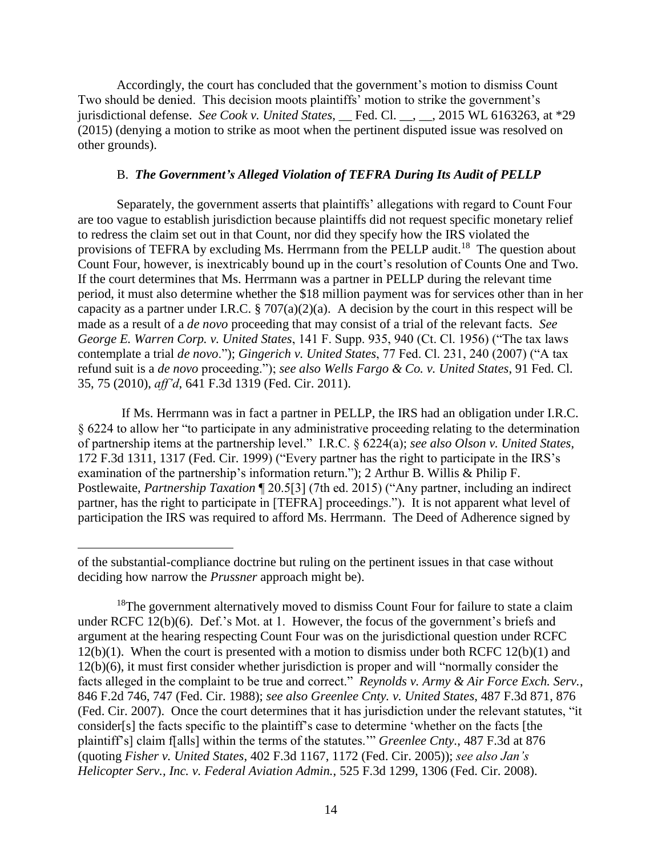Accordingly, the court has concluded that the government's motion to dismiss Count Two should be denied. This decision moots plaintiffs' motion to strike the government's jurisdictional defense. *See Cook v. United States*, <u></u> Fed. Cl. \_, \_, 2015 WL 6163263, at \*29 (2015) (denying a motion to strike as moot when the pertinent disputed issue was resolved on other grounds).

## B. *The Government's Alleged Violation of TEFRA During Its Audit of PELLP*

Separately, the government asserts that plaintiffs' allegations with regard to Count Four are too vague to establish jurisdiction because plaintiffs did not request specific monetary relief to redress the claim set out in that Count, nor did they specify how the IRS violated the provisions of TEFRA by excluding Ms. Herrmann from the PELLP audit.<sup>18</sup> The question about Count Four, however, is inextricably bound up in the court's resolution of Counts One and Two. If the court determines that Ms. Herrmann was a partner in PELLP during the relevant time period, it must also determine whether the \$18 million payment was for services other than in her capacity as a partner under I.R.C.  $\S 707(a)(2)(a)$ . A decision by the court in this respect will be made as a result of a *de novo* proceeding that may consist of a trial of the relevant facts. *See George E. Warren Corp. v. United States*, 141 F. Supp. 935, 940 (Ct. Cl. 1956) ("The tax laws contemplate a trial *de novo*."); *Gingerich v. United States*, 77 Fed. Cl. 231, 240 (2007) ("A tax refund suit is a *de novo* proceeding."); *see also Wells Fargo & Co. v. United States*, 91 Fed. Cl. 35, 75 (2010), *aff'd*, 641 F.3d 1319 (Fed. Cir. 2011).

 If Ms. Herrmann was in fact a partner in PELLP, the IRS had an obligation under I.R.C. § 6224 to allow her "to participate in any administrative proceeding relating to the determination of partnership items at the partnership level." I.R.C. § 6224(a); *see also Olson v. United States*, 172 F.3d 1311, 1317 (Fed. Cir. 1999) ("Every partner has the right to participate in the IRS's examination of the partnership's information return."); 2 Arthur B. Willis & Philip F. Postlewaite, *Partnership Taxation* ¶ 20.5[3] (7th ed. 2015) ("Any partner, including an indirect partner, has the right to participate in [TEFRA] proceedings."). It is not apparent what level of participation the IRS was required to afford Ms. Herrmann. The Deed of Adherence signed by

of the substantial-compliance doctrine but ruling on the pertinent issues in that case without deciding how narrow the *Prussner* approach might be).

 $18$ The government alternatively moved to dismiss Count Four for failure to state a claim under RCFC 12(b)(6). Def.'s Mot. at 1. However, the focus of the government's briefs and argument at the hearing respecting Count Four was on the jurisdictional question under RCFC  $12(b)(1)$ . When the court is presented with a motion to dismiss under both RCFC  $12(b)(1)$  and 12(b)(6), it must first consider whether jurisdiction is proper and will "normally consider the facts alleged in the complaint to be true and correct." *Reynolds v. Army & Air Force Exch. Serv.*, 846 F.2d 746, 747 (Fed. Cir. 1988); *see also Greenlee Cnty. v. United States*, 487 F.3d 871, 876 (Fed. Cir. 2007). Once the court determines that it has jurisdiction under the relevant statutes, "it consider[s] the facts specific to the plaintiff's case to determine 'whether on the facts [the plaintiff's] claim f[alls] within the terms of the statutes.'" *Greenlee Cnty.*, 487 F.3d at 876 (quoting *Fisher v. United States*, 402 F.3d 1167, 1172 (Fed. Cir. 2005)); *see also Jan's Helicopter Serv., Inc. v. Federal Aviation Admin.*, 525 F.3d 1299, 1306 (Fed. Cir. 2008).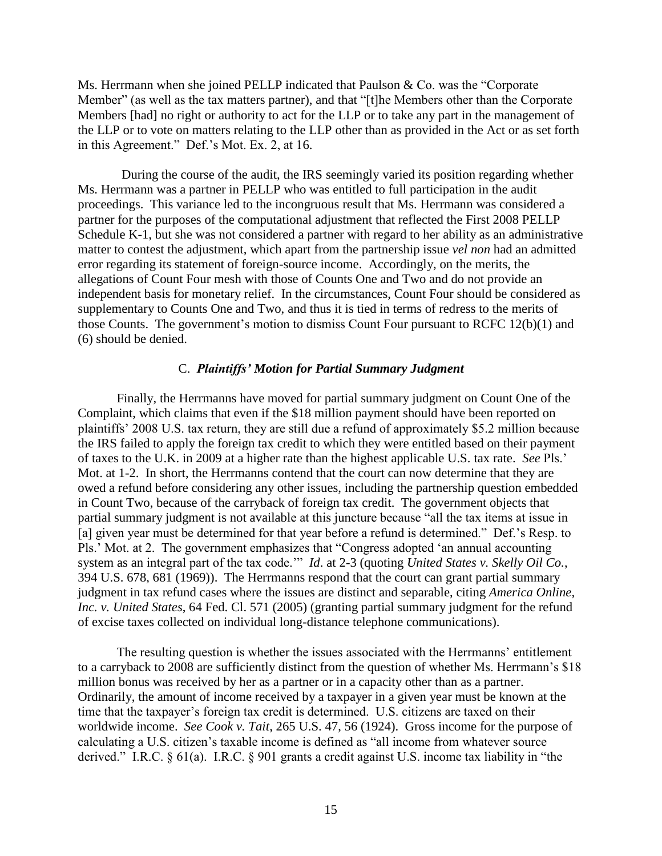Ms. Herrmann when she joined PELLP indicated that Paulson & Co. was the "Corporate Member" (as well as the tax matters partner), and that "[t]he Members other than the Corporate Members [had] no right or authority to act for the LLP or to take any part in the management of the LLP or to vote on matters relating to the LLP other than as provided in the Act or as set forth in this Agreement." Def.'s Mot. Ex. 2, at 16.

 During the course of the audit, the IRS seemingly varied its position regarding whether Ms. Herrmann was a partner in PELLP who was entitled to full participation in the audit proceedings. This variance led to the incongruous result that Ms. Herrmann was considered a partner for the purposes of the computational adjustment that reflected the First 2008 PELLP Schedule K-1, but she was not considered a partner with regard to her ability as an administrative matter to contest the adjustment, which apart from the partnership issue *vel non* had an admitted error regarding its statement of foreign-source income. Accordingly, on the merits, the allegations of Count Four mesh with those of Counts One and Two and do not provide an independent basis for monetary relief. In the circumstances, Count Four should be considered as supplementary to Counts One and Two, and thus it is tied in terms of redress to the merits of those Counts. The government's motion to dismiss Count Four pursuant to RCFC 12(b)(1) and (6) should be denied.

#### C. *Plaintiffs' Motion for Partial Summary Judgment*

Finally, the Herrmanns have moved for partial summary judgment on Count One of the Complaint, which claims that even if the \$18 million payment should have been reported on plaintiffs' 2008 U.S. tax return, they are still due a refund of approximately \$5.2 million because the IRS failed to apply the foreign tax credit to which they were entitled based on their payment of taxes to the U.K. in 2009 at a higher rate than the highest applicable U.S. tax rate. *See* Pls.' Mot. at 1-2. In short, the Herrmanns contend that the court can now determine that they are owed a refund before considering any other issues, including the partnership question embedded in Count Two, because of the carryback of foreign tax credit. The government objects that partial summary judgment is not available at this juncture because "all the tax items at issue in [a] given year must be determined for that year before a refund is determined." Def.'s Resp. to Pls.' Mot. at 2. The government emphasizes that "Congress adopted 'an annual accounting system as an integral part of the tax code.'" *Id*. at 2-3 (quoting *United States v. Skelly Oil Co.*, 394 U.S. 678, 681 (1969)). The Herrmanns respond that the court can grant partial summary judgment in tax refund cases where the issues are distinct and separable, citing *America Online, Inc. v. United States*, 64 Fed. Cl. 571 (2005) (granting partial summary judgment for the refund of excise taxes collected on individual long-distance telephone communications).

The resulting question is whether the issues associated with the Herrmanns' entitlement to a carryback to 2008 are sufficiently distinct from the question of whether Ms. Herrmann's \$18 million bonus was received by her as a partner or in a capacity other than as a partner. Ordinarily, the amount of income received by a taxpayer in a given year must be known at the time that the taxpayer's foreign tax credit is determined. U.S. citizens are taxed on their worldwide income. *See Cook v. Tait*, 265 U.S. 47, 56 (1924). Gross income for the purpose of calculating a U.S. citizen's taxable income is defined as "all income from whatever source derived." I.R.C. § 61(a). I.R.C. § 901 grants a credit against U.S. income tax liability in "the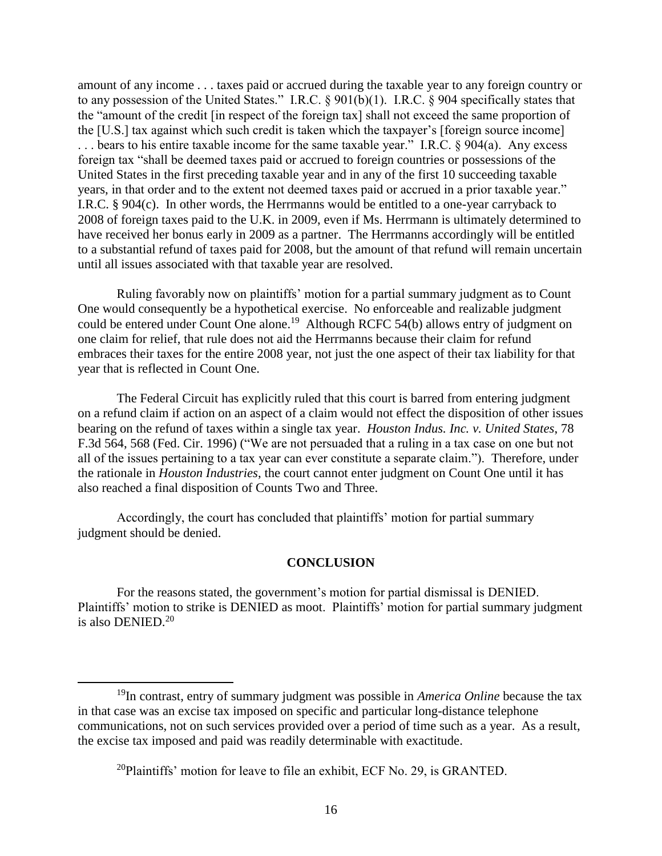amount of any income . . . taxes paid or accrued during the taxable year to any foreign country or to any possession of the United States." I.R.C. § 901(b)(1). I.R.C. § 904 specifically states that the "amount of the credit [in respect of the foreign tax] shall not exceed the same proportion of the [U.S.] tax against which such credit is taken which the taxpayer's [foreign source income] ... bears to his entire taxable income for the same taxable year." I.R.C. § 904(a). Any excess foreign tax "shall be deemed taxes paid or accrued to foreign countries or possessions of the United States in the first preceding taxable year and in any of the first 10 succeeding taxable years, in that order and to the extent not deemed taxes paid or accrued in a prior taxable year." I.R.C. § 904(c). In other words, the Herrmanns would be entitled to a one-year carryback to 2008 of foreign taxes paid to the U.K. in 2009, even if Ms. Herrmann is ultimately determined to have received her bonus early in 2009 as a partner. The Herrmanns accordingly will be entitled to a substantial refund of taxes paid for 2008, but the amount of that refund will remain uncertain until all issues associated with that taxable year are resolved.

Ruling favorably now on plaintiffs' motion for a partial summary judgment as to Count One would consequently be a hypothetical exercise. No enforceable and realizable judgment could be entered under Count One alone.<sup>19</sup> Although RCFC 54(b) allows entry of judgment on one claim for relief, that rule does not aid the Herrmanns because their claim for refund embraces their taxes for the entire 2008 year, not just the one aspect of their tax liability for that year that is reflected in Count One.

The Federal Circuit has explicitly ruled that this court is barred from entering judgment on a refund claim if action on an aspect of a claim would not effect the disposition of other issues bearing on the refund of taxes within a single tax year. *Houston Indus. Inc. v. United States*, 78 F.3d 564, 568 (Fed. Cir. 1996) ("We are not persuaded that a ruling in a tax case on one but not all of the issues pertaining to a tax year can ever constitute a separate claim."). Therefore, under the rationale in *Houston Industries*, the court cannot enter judgment on Count One until it has also reached a final disposition of Counts Two and Three.

Accordingly, the court has concluded that plaintiffs' motion for partial summary judgment should be denied.

#### **CONCLUSION**

For the reasons stated, the government's motion for partial dismissal is DENIED. Plaintiffs' motion to strike is DENIED as moot. Plaintiffs' motion for partial summary judgment is also DENIED.<sup>20</sup>

<sup>19</sup>In contrast, entry of summary judgment was possible in *America Online* because the tax in that case was an excise tax imposed on specific and particular long-distance telephone communications, not on such services provided over a period of time such as a year. As a result, the excise tax imposed and paid was readily determinable with exactitude.

 $^{20}$ Plaintiffs' motion for leave to file an exhibit, ECF No. 29, is GRANTED.